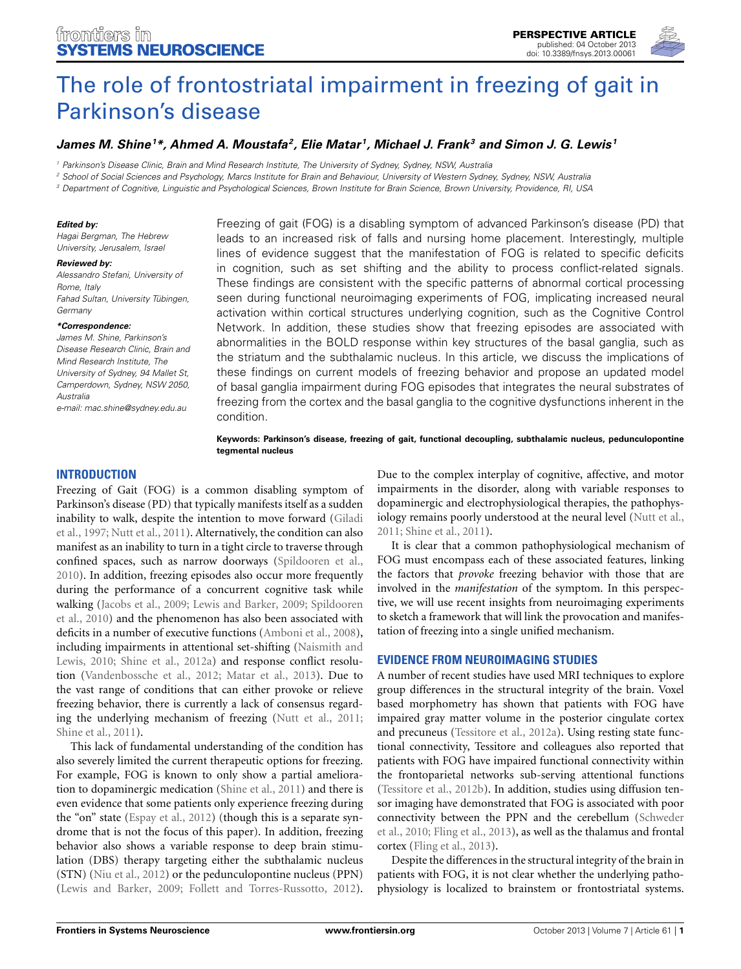

# [The role of frontostriatal impairment in freezing of gait in](http://www.frontiersin.org/Systems_Neuroscience/10.3389/fnsys.2013.00061/abstract) Parkinson's disease

## *[James M. Shine](http://www.frontiersin.org/Community/WhosWhoActivity.aspx?sname=JamesShine&UID=67761)1 \*, [Ahmed A. Moustafa](http://community.frontiersin.org/people/AhmedMoustafa/15417)2, [Elie Matar](http://community.frontiersin.org/people/ElieMatar/113480) 1, [Michael J. Frank](http://www.frontiersin.org/Community/WhosWhoActivity.aspx?sname=MichaelFrank&UID=5630)3 and [Simon J. G. Lewis](http://community.frontiersin.org/people/SimonLewis/113479) <sup>1</sup>*

*<sup>1</sup> Parkinson's Disease Clinic, Brain and Mind Research Institute, The University of Sydney, Sydney, NSW, Australia*

*<sup>2</sup> School of Social Sciences and Psychology, Marcs Institute for Brain and Behaviour, University of Western Sydney, Sydney, NSW, Australia*

*<sup>3</sup> Department of Cognitive, Linguistic and Psychological Sciences, Brown Institute for Brain Science, Brown University, Providence, RI, USA*

#### *Edited by:*

*Hagai Bergman, The Hebrew University, Jerusalem, Israel*

#### *Reviewed by:*

*Alessandro Stefani, University of Rome, Italy Fahad Sultan, University Tübingen, Germany*

#### *\*Correspondence:*

*James M. Shine, Parkinson's Disease Research Clinic, Brain and Mind Research Institute, The University of Sydney, 94 Mallet St, Camperdown, Sydney, NSW 2050, Australia*

*e-mail: [mac.shine@sydney.edu.au](mailto:mac.shine@sydney.edu.au)*

# Freezing of gait (FOG) is a disabling symptom of advanced Parkinson's disease (PD) that leads to an increased risk of falls and nursing home placement. Interestingly, multiple lines of evidence suggest that the manifestation of FOG is related to specific deficits in cognition, such as set shifting and the ability to process conflict-related signals. These findings are consistent with the specific patterns of abnormal cortical processing seen during functional neuroimaging experiments of FOG, implicating increased neural activation within cortical structures underlying cognition, such as the Cognitive Control Network. In addition, these studies show that freezing episodes are associated with abnormalities in the BOLD response within key structures of the basal ganglia, such as the striatum and the subthalamic nucleus. In this article, we discuss the implications of these findings on current models of freezing behavior and propose an updated model of basal ganglia impairment during FOG episodes that integrates the neural substrates of freezing from the cortex and the basal ganglia to the cognitive dysfunctions inherent in the condition.

**Keywords: Parkinson's disease, freezing of gait, functional decoupling, subthalamic nucleus, pedunculopontine tegmental nucleus**

#### **INTRODUCTION**

Freezing of Gait (FOG) is a common disabling symptom of Parkinson's disease (PD) that typically manifests itself as a sudden inab[ility to walk, despite the intention to move forward \(](#page-5-0)Giladi et al., [1997](#page-5-0); [Nutt et al., 2011](#page-5-1)). Alternatively, the condition can also manifest as an inability to turn in a tight circle to traverse through confined spaces, such as narrow doorways [\(Spildooren et al.,](#page-6-0) [2010](#page-6-0)). In addition, freezing episodes also occur more frequently during the performance of a concurrent cognitive task while walk[ing](#page-6-0) [\(Jacobs et al., 2009](#page-5-2)[;](#page-6-0) [Lewis and Barker, 2009](#page-5-3)[;](#page-6-0) Spildooren et al., [2010](#page-6-0)) and the phenomenon has also been associated with deficits in a number of executive functions [\(Amboni et al.](#page-4-0), [2008](#page-4-0)), inclu[ding impairments in attentional set-shifting \(](#page-5-4)Naismith and Lewis, [2010](#page-5-4); [Shine et al., 2012a](#page-6-1)) and response conflict resolution [\(Vandenbossche et al., 2012;](#page-6-2) [Matar et al.](#page-5-5), [2013\)](#page-5-5). Due to the vast range of conditions that can either provoke or relieve freezing behavior, there is currently a lack of consensus regarding the underlying mechanism of freezing [\(Nutt et al., 2011;](#page-5-1) [Shine et al., 2011](#page-6-3)).

This lack of fundamental understanding of the condition has also severely limited the current therapeutic options for freezing. For example, FOG is known to only show a partial amelioration to dopaminergic medication [\(Shine et al., 2011\)](#page-6-3) and there is even evidence that some patients only experience freezing during the "on" state [\(Espay et al., 2012\)](#page-5-6) (though this is a separate syndrome that is not the focus of this paper). In addition, freezing behavior also shows a variable response to deep brain stimulation (DBS) therapy targeting either the subthalamic nucleus (STN) [\(Niu et al., 2012\)](#page-5-7) or the pedunculopontine nucleus (PPN) [\(Lewis and Barker](#page-5-3), [2009;](#page-5-3) [Follett and Torres-Russotto, 2012](#page-5-8)).

Due to the complex interplay of cognitive, affective, and motor impairments in the disorder, along with variable responses to dopaminergic and electrophysiological therapies, the pathophysiology remains poorly understood at the neural level [\(Nutt et al.,](#page-5-1) [2011](#page-5-1); [Shine et al.](#page-6-3), [2011](#page-6-3)).

It is clear that a common pathophysiological mechanism of FOG must encompass each of these associated features, linking the factors that *provoke* freezing behavior with those that are involved in the *manifestation* of the symptom. In this perspective, we will use recent insights from neuroimaging experiments to sketch a framework that will link the provocation and manifestation of freezing into a single unified mechanism.

### **EVIDENCE FROM NEUROIMAGING STUDIES**

A number of recent studies have used MRI techniques to explore group differences in the structural integrity of the brain. Voxel based morphometry has shown that patients with FOG have impaired gray matter volume in the posterior cingulate cortex and precuneus [\(Tessitore et al., 2012a](#page-6-4)). Using resting state functional connectivity, Tessitore and colleagues also reported that patients with FOG have impaired functional connectivity within the frontoparietal networks sub-serving attentional functions [\(Tessitore et al., 2012b\)](#page-6-5). In addition, studies using diffusion tensor imaging have demonstrated that FOG is associated with poor con[nectivity between the PPN and the cerebellum \(](#page-6-6)Schweder et al., [2010](#page-6-6); [Fling et al.](#page-5-9), [2013\)](#page-5-9), as well as the thalamus and frontal cortex [\(Fling et al., 2013\)](#page-5-9).

Despite the differences in the structural integrity of the brain in patients with FOG, it is not clear whether the underlying pathophysiology is localized to brainstem or frontostriatal systems.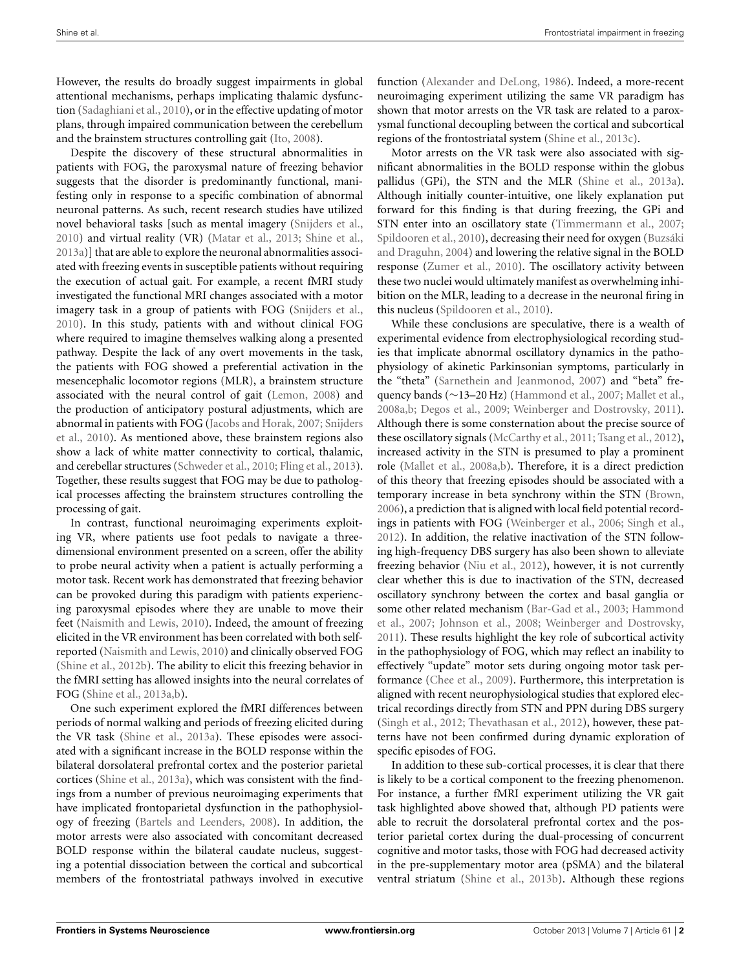However, the results do broadly suggest impairments in global attentional mechanisms, perhaps implicating thalamic dysfunction [\(Sadaghiani et al., 2010](#page-6-7)), or in the effective updating of motor plans, through impaired communication between the cerebellum and the brainstem structures controlling gait [\(Ito](#page-5-10), [2008\)](#page-5-10).

Despite the discovery of these structural abnormalities in patients with FOG, the paroxysmal nature of freezing behavior suggests that the disorder is predominantly functional, manifesting only in response to a specific combination of abnormal neuronal patterns. As such, recent research studies have utilized novel behavioral tasks [such as mental imagery [\(Snijders et al.](#page-6-8), [2010](#page-6-8)) and virtual reality (VR) [\(Matar et al., 2013;](#page-5-5) [Shine et al.](#page-6-9), [2013a\)](#page-6-9)] that are able to explore the neuronal abnormalities associated with freezing events in susceptible patients without requiring the execution of actual gait. For example, a recent fMRI study investigated the functional MRI changes associated with a motor imagery task in a group of patients with FOG [\(Snijders et al.](#page-6-8), [2010](#page-6-8)). In this study, patients with and without clinical FOG where required to imagine themselves walking along a presented pathway. Despite the lack of any overt movements in the task, the patients with FOG showed a preferential activation in the mesencephalic locomotor regions (MLR), a brainstem structure associated with the neural control of gait [\(Lemon](#page-5-11), [2008\)](#page-5-11) and the production of anticipatory postural adjustments, which are abn[ormal in patients with FOG](#page-6-8) [\(Jacobs and Horak](#page-5-12)[,](#page-6-8) [2007](#page-5-12)[;](#page-6-8) Snijders et al., [2010\)](#page-6-8). As mentioned above, these brainstem regions also show a lack of white matter connectivity to cortical, thalamic, and cerebellar structures [\(Schweder et al.](#page-6-6), [2010;](#page-6-6) [Fling et al., 2013](#page-5-9)). Together, these results suggest that FOG may be due to pathological processes affecting the brainstem structures controlling the processing of gait.

In contrast, functional neuroimaging experiments exploiting VR, where patients use foot pedals to navigate a threedimensional environment presented on a screen, offer the ability to probe neural activity when a patient is actually performing a motor task. Recent work has demonstrated that freezing behavior can be provoked during this paradigm with patients experiencing paroxysmal episodes where they are unable to move their feet [\(Naismith and Lewis](#page-5-4), [2010](#page-5-4)). Indeed, the amount of freezing elicited in the VR environment has been correlated with both selfreported [\(Naismith and Lewis, 2010](#page-5-4)) and clinically observed FOG [\(Shine et al.](#page-6-10), [2012b](#page-6-10)). The ability to elicit this freezing behavior in the fMRI setting has allowed insights into the neural correlates of FOG [\(Shine et al.](#page-6-9), [2013a](#page-6-9)[,b](#page-6-11)).

One such experiment explored the fMRI differences between periods of normal walking and periods of freezing elicited during the VR task [\(Shine et al.](#page-6-9), [2013a\)](#page-6-9). These episodes were associated with a significant increase in the BOLD response within the bilateral dorsolateral prefrontal cortex and the posterior parietal cortices [\(Shine et al., 2013a\)](#page-6-9), which was consistent with the findings from a number of previous neuroimaging experiments that have implicated frontoparietal dysfunction in the pathophysiology of freezing [\(Bartels and Leenders, 2008](#page-5-13)). In addition, the motor arrests were also associated with concomitant decreased BOLD response within the bilateral caudate nucleus, suggesting a potential dissociation between the cortical and subcortical members of the frontostriatal pathways involved in executive

function [\(Alexander and DeLong, 1986](#page-4-1)). Indeed, a more-recent neuroimaging experiment utilizing the same VR paradigm has shown that motor arrests on the VR task are related to a paroxysmal functional decoupling between the cortical and subcortical regions of the frontostriatal system [\(Shine et al.](#page-6-12), [2013c\)](#page-6-12).

Motor arrests on the VR task were also associated with significant abnormalities in the BOLD response within the globus pallidus (GPi), the STN and the MLR [\(Shine et al., 2013a\)](#page-6-9). Although initially counter-intuitive, one likely explanation put forward for this finding is that during freezing, the GPi and STN enter into an oscillatory state [\(Timmermann et al.](#page-6-13), [2007](#page-6-13); [Spildooren et al.](#page-6-0)[,](#page-5-14) [2010\)](#page-6-0)[, decreasing their need for oxygen \(](#page-5-14)Buzsáki and Draguhn, [2004](#page-5-14)) and lowering the relative signal in the BOLD response [\(Zumer et al.](#page-6-14), [2010](#page-6-14)). The oscillatory activity between these two nuclei would ultimately manifest as overwhelming inhibition on the MLR, leading to a decrease in the neuronal firing in this nucleus [\(Spildooren et al., 2010\)](#page-6-0).

While these conclusions are speculative, there is a wealth of experimental evidence from electrophysiological recording studies that implicate abnormal oscillatory dynamics in the pathophysiology of akinetic Parkinsonian symptoms, particularly in the "theta" [\(Sarnethein and Jeanmonod](#page-6-15), [2007\)](#page-6-15) and "beta" frequency bands (∼13–20 Hz) [\(Hammond et al., 2007](#page-5-15); [Mallet et al.](#page-5-16), [2008a](#page-5-16)[,b;](#page-5-17) [Degos et al., 2009](#page-5-18); [Weinberger and Dostrovsky](#page-6-16), [2011\)](#page-6-16). Although there is some consternation about the precise source of these oscillatory signals [\(McCarthy et al., 2011](#page-5-19); [Tsang et al., 2012\)](#page-6-17), increased activity in the STN is presumed to play a prominent role [\(Mallet et al., 2008a](#page-5-16)[,b\)](#page-5-17). Therefore, it is a direct prediction of this theory that freezing episodes should be associated with a temporary increase in beta synchrony within the STN [\(Brown](#page-5-20), [2006](#page-5-20)), a prediction that is aligned with local field potential recordings in patients with FOG [\(Weinberger et al., 2006](#page-6-18); [Singh et al.](#page-6-19), [2012](#page-6-19)). In addition, the relative inactivation of the STN following high-frequency DBS surgery has also been shown to alleviate freezing behavior [\(Niu et al.](#page-5-7), [2012](#page-5-7)), however, it is not currently clear whether this is due to inactivation of the STN, decreased oscillatory synchrony between the cortex and basal ganglia or som[e other related mechanism](#page-5-15) [\(Bar-Gad et al.](#page-4-2)[,](#page-5-15) [2003](#page-4-2)[;](#page-5-15) Hammond et al., [2007](#page-5-15); [Johnson et al.](#page-5-21), [2008;](#page-5-21) [Weinberger and Dostrovsky](#page-6-16), [2011](#page-6-16)). These results highlight the key role of subcortical activity in the pathophysiology of FOG, which may reflect an inability to effectively "update" motor sets during ongoing motor task performance [\(Chee et al., 2009](#page-5-22)). Furthermore, this interpretation is aligned with recent neurophysiological studies that explored electrical recordings directly from STN and PPN during DBS surgery [\(Singh et al., 2012;](#page-6-19) [Thevathasan et al.](#page-6-20), [2012](#page-6-20)), however, these patterns have not been confirmed during dynamic exploration of specific episodes of FOG.

In addition to these sub-cortical processes, it is clear that there is likely to be a cortical component to the freezing phenomenon. For instance, a further fMRI experiment utilizing the VR gait task highlighted above showed that, although PD patients were able to recruit the dorsolateral prefrontal cortex and the posterior parietal cortex during the dual-processing of concurrent cognitive and motor tasks, those with FOG had decreased activity in the pre-supplementary motor area (pSMA) and the bilateral ventral striatum [\(Shine et al., 2013b](#page-6-11)). Although these regions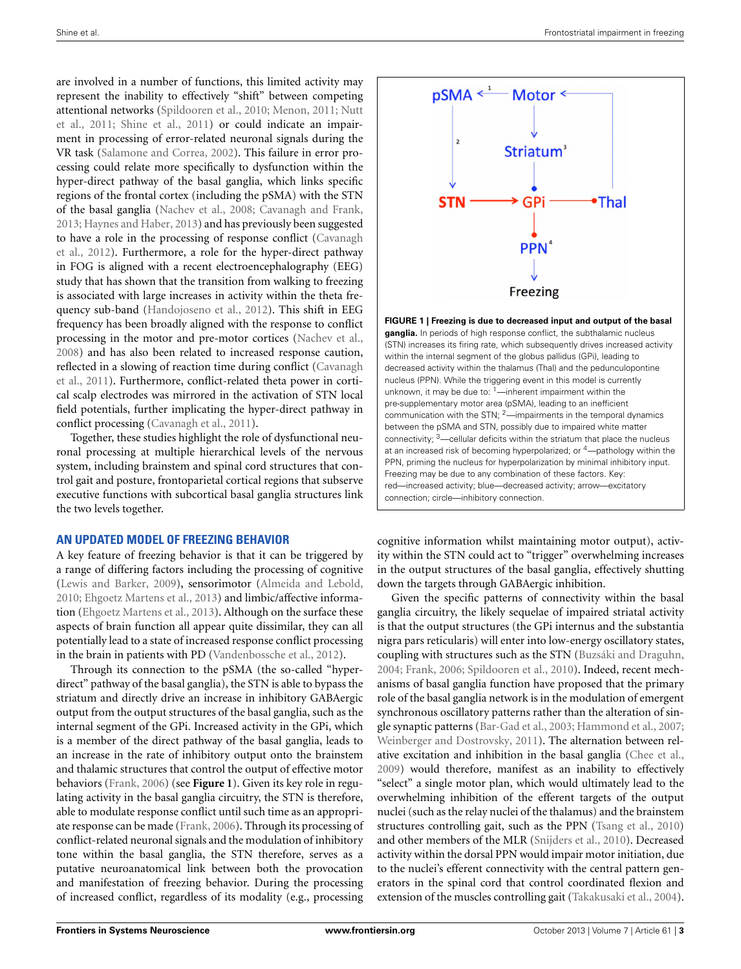are involved in a number of functions, this limited activity may represent the inability to effectively "shift" between competing atten[tional networks](#page-5-1) [\(Spildooren et al.](#page-6-0)[,](#page-5-1) [2010;](#page-6-0) [Menon, 2011;](#page-5-23) Nutt et al., [2011](#page-5-1); [Shine et al.](#page-6-3), [2011](#page-6-3)) or could indicate an impairment in processing of error-related neuronal signals during the VR task [\(Salamone and Correa, 2002\)](#page-6-21). This failure in error processing could relate more specifically to dysfunction within the hyper-direct pathway of the basal ganglia, which links specific regions of the frontal cortex (including the pSMA) with the STN of the basal ganglia [\(Nachev et al., 2008;](#page-5-24) [Cavanagh and Frank,](#page-5-25) [2013](#page-5-25); [Haynes and Haber, 2013\)](#page-5-26) and has previously been suggested to h[ave a role in the processing of response conflict \(](#page-5-27)Cavanagh et al., [2012\)](#page-5-27). Furthermore, a role for the hyper-direct pathway in FOG is aligned with a recent electroencephalography (EEG) study that has shown that the transition from walking to freezing is associated with large increases in activity within the theta frequency sub-band [\(Handojoseno et al., 2012](#page-5-28)). This shift in EEG frequency has been broadly aligned with the response to conflict processing in the motor and pre-motor cortices [\(Nachev et al.,](#page-5-24) [2008](#page-5-24)) and has also been related to increased response caution, refle[cted in a slowing of reaction time during conflict \(](#page-5-29)Cavanagh et al., [2011](#page-5-29)). Furthermore, conflict-related theta power in cortical scalp electrodes was mirrored in the activation of STN local field potentials, further implicating the hyper-direct pathway in conflict processing [\(Cavanagh et al.](#page-5-29), [2011\)](#page-5-29).

Together, these studies highlight the role of dysfunctional neuronal processing at multiple hierarchical levels of the nervous system, including brainstem and spinal cord structures that control gait and posture, frontoparietal cortical regions that subserve executive functions with subcortical basal ganglia structures link the two levels together.

### **AN UPDATED MODEL OF FREEZING BEHAVIOR**

A key feature of freezing behavior is that it can be triggered by a range of differing factors including the processing of cognitive [\(Lewis and Barker](#page-5-3), [2009\)](#page-5-3), sensorimotor [\(Almeida and Lebold,](#page-4-3) [2010](#page-4-3); [Ehgoetz Martens et al.](#page-5-30), [2013\)](#page-5-30) and limbic/affective information [\(Ehgoetz Martens et al., 2013](#page-5-30)). Although on the surface these aspects of brain function all appear quite dissimilar, they can all potentially lead to a state of increased response conflict processing in the brain in patients with PD [\(Vandenbossche et al., 2012](#page-6-2)).

Through its connection to the pSMA (the so-called "hyperdirect" pathway of the basal ganglia), the STN is able to bypass the striatum and directly drive an increase in inhibitory GABAergic output from the output structures of the basal ganglia, such as the internal segment of the GPi. Increased activity in the GPi, which is a member of the direct pathway of the basal ganglia, leads to an increase in the rate of inhibitory output onto the brainstem and thalamic structures that control the output of effective motor behaviors [\(Frank, 2006](#page-5-31)) (see **[Figure 1](#page-2-0)**). Given its key role in regulating activity in the basal ganglia circuitry, the STN is therefore, able to modulate response conflict until such time as an appropriate response can be made [\(Frank, 2006](#page-5-31)). Through its processing of conflict-related neuronal signals and the modulation of inhibitory tone within the basal ganglia, the STN therefore, serves as a putative neuroanatomical link between both the provocation and manifestation of freezing behavior. During the processing of increased conflict, regardless of its modality (e.g., processing



<span id="page-2-0"></span>**FIGURE 1 | Freezing is due to decreased input and output of the basal ganglia.** In periods of high response conflict, the subthalamic nucleus (STN) increases its firing rate, which subsequently drives increased activity within the internal segment of the globus pallidus (GPi), leading to decreased activity within the thalamus (Thal) and the pedunculopontine nucleus (PPN). While the triggering event in this model is currently unknown, it may be due to:  $1$ —inherent impairment within the pre-supplementary motor area (pSMA), leading to an inefficient communication with the STN; <sup>2</sup>—impairments in the temporal dynamics between the pSMA and STN, possibly due to impaired white matter connectivity;  $3$ —cellular deficits within the striatum that place the nucleus at an increased risk of becoming hyperpolarized; or 4—pathology within the PPN, priming the nucleus for hyperpolarization by minimal inhibitory input. Freezing may be due to any combination of these factors. Key: red—increased activity; blue—decreased activity; arrow—excitatory connection; circle—inhibitory connection.

cognitive information whilst maintaining motor output), activity within the STN could act to "trigger" overwhelming increases in the output structures of the basal ganglia, effectively shutting down the targets through GABAergic inhibition.

Given the specific patterns of connectivity within the basal ganglia circuitry, the likely sequelae of impaired striatal activity is that the output structures (the GPi internus and the substantia nigra pars reticularis) will enter into low-energy oscillatory states, coupling with structures such as the STN [\(Buzsáki and Draguhn](#page-5-14), [2004](#page-5-14); [Frank](#page-5-31), [2006](#page-5-31); [Spildooren et al.](#page-6-0), [2010\)](#page-6-0). Indeed, recent mechanisms of basal ganglia function have proposed that the primary role of the basal ganglia network is in the modulation of emergent synchronous oscillatory patterns rather than the alteration of single synaptic patterns [\(Bar-Gad et al.](#page-4-2), [2003;](#page-4-2) [Hammond et al.](#page-5-15), [2007;](#page-5-15) [Weinberger and Dostrovsky](#page-6-16), [2011\)](#page-6-16). The alternation between relative excitation and inhibition in the basal ganglia [\(Chee et al.,](#page-5-22) [2009](#page-5-22)) would therefore, manifest as an inability to effectively "select" a single motor plan, which would ultimately lead to the overwhelming inhibition of the efferent targets of the output nuclei (such as the relay nuclei of the thalamus) and the brainstem structures controlling gait, such as the PPN [\(Tsang et al., 2010](#page-6-22)) and other members of the MLR [\(Snijders et al.](#page-6-8), [2010\)](#page-6-8). Decreased activity within the dorsal PPN would impair motor initiation, due to the nuclei's efferent connectivity with the central pattern generators in the spinal cord that control coordinated flexion and extension of the muscles controlling gait [\(Takakusaki et al., 2004](#page-6-23)).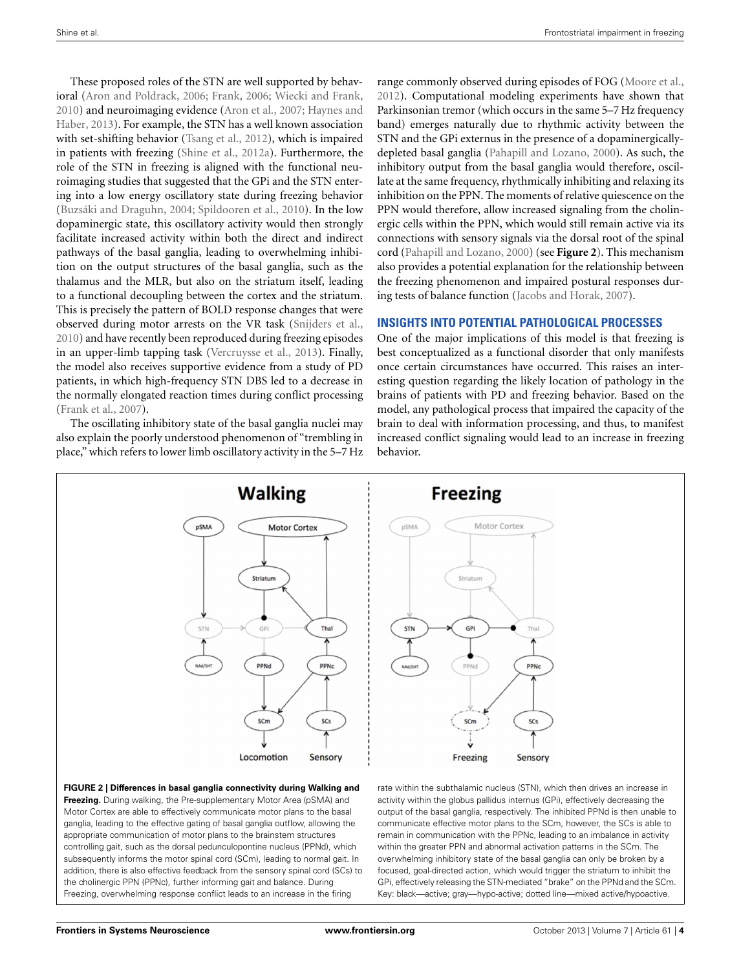These proposed roles of the STN are well supported by behavioral [\(Aron and Poldrack, 2006](#page-4-4); [Frank, 2006;](#page-5-31) [Wiecki and Frank](#page-6-24), [2010](#page-6-24)) [and neuroimaging evidence](#page-5-26) [\(Aron et al.](#page-4-5)[,](#page-5-26) [2007](#page-4-5)[;](#page-5-26) Haynes and Haber, [2013](#page-5-26)). For example, the STN has a well known association with set-shifting behavior [\(Tsang et al., 2012](#page-6-17)), which is impaired in patients with freezing [\(Shine et al., 2012a\)](#page-6-1). Furthermore, the role of the STN in freezing is aligned with the functional neuroimaging studies that suggested that the GPi and the STN entering into a low energy oscillatory state during freezing behavior [\(Buzsáki and Draguhn, 2004;](#page-5-14) [Spildooren et al., 2010\)](#page-6-0). In the low dopaminergic state, this oscillatory activity would then strongly facilitate increased activity within both the direct and indirect pathways of the basal ganglia, leading to overwhelming inhibition on the output structures of the basal ganglia, such as the thalamus and the MLR, but also on the striatum itself, leading to a functional decoupling between the cortex and the striatum. This is precisely the pattern of BOLD response changes that were observed during motor arrests on the VR task [\(Snijders et al.](#page-6-8), [2010](#page-6-8)) and have recently been reproduced during freezing episodes in an upper-limb tapping task [\(Vercruysse et al., 2013](#page-6-25)). Finally, the model also receives supportive evidence from a study of PD patients, in which high-frequency STN DBS led to a decrease in the normally elongated reaction times during conflict processing [\(Frank et al.](#page-5-32), [2007\)](#page-5-32).

The oscillating inhibitory state of the basal ganglia nuclei may also explain the poorly understood phenomenon of "trembling in place," which refers to lower limb oscillatory activity in the 5–7 Hz range commonly observed during episodes of FOG [\(Moore et al.](#page-5-33), [2012](#page-5-33)). Computational modeling experiments have shown that Parkinsonian tremor (which occurs in the same 5–7 Hz frequency band) emerges naturally due to rhythmic activity between the STN and the GPi externus in the presence of a dopaminergicallydepleted basal ganglia [\(Pahapill and Lozano, 2000\)](#page-6-26). As such, the inhibitory output from the basal ganglia would therefore, oscillate at the same frequency, rhythmically inhibiting and relaxing its inhibition on the PPN. The moments of relative quiescence on the PPN would therefore, allow increased signaling from the cholinergic cells within the PPN, which would still remain active via its connections with sensory signals via the dorsal root of the spinal cord [\(Pahapill and Lozano, 2000](#page-6-26)) (see **[Figure 2](#page-3-0)**). This mechanism also provides a potential explanation for the relationship between the freezing phenomenon and impaired postural responses during tests of balance function [\(Jacobs and Horak](#page-5-12), [2007\)](#page-5-12).

## **INSIGHTS INTO POTENTIAL PATHOLOGICAL PROCESSES**

One of the major implications of this model is that freezing is best conceptualized as a functional disorder that only manifests once certain circumstances have occurred. This raises an interesting question regarding the likely location of pathology in the brains of patients with PD and freezing behavior. Based on the model, any pathological process that impaired the capacity of the brain to deal with information processing, and thus, to manifest increased conflict signaling would lead to an increase in freezing behavior.



<span id="page-3-0"></span>**Freezing.** During walking, the Pre-supplementary Motor Area (pSMA) and Motor Cortex are able to effectively communicate motor plans to the basal ganglia, leading to the effective gating of basal ganglia outflow, allowing the appropriate communication of motor plans to the brainstem structures controlling gait, such as the dorsal pedunculopontine nucleus (PPNd), which subsequently informs the motor spinal cord (SCm), leading to normal gait. In addition, there is also effective feedback from the sensory spinal cord (SCs) to the cholinergic PPN (PPNc), further informing gait and balance. During Freezing, overwhelming response conflict leads to an increase in the firing

activity within the globus pallidus internus (GPi), effectively decreasing the output of the basal ganglia, respectively. The inhibited PPNd is then unable to communicate effective motor plans to the SCm, however, the SCs is able to remain in communication with the PPNc, leading to an imbalance in activity within the greater PPN and abnormal activation patterns in the SCm. The overwhelming inhibitory state of the basal ganglia can only be broken by a focused, goal-directed action, which would trigger the striatum to inhibit the GPi, effectively releasing the STN-mediated "brake" on the PPNd and the SCm. Key: black—active; gray—hypo-active; dotted line—mixed active/hypoactive.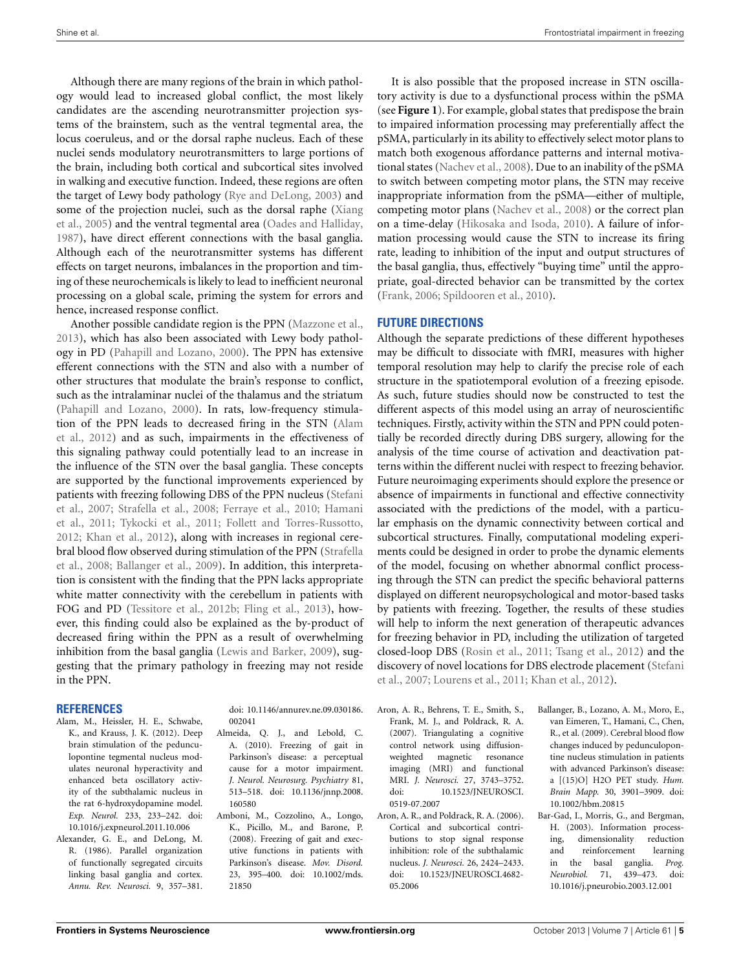Although there are many regions of the brain in which pathology would lead to increased global conflict, the most likely candidates are the ascending neurotransmitter projection systems of the brainstem, such as the ventral tegmental area, the locus coeruleus, and or the dorsal raphe nucleus. Each of these nuclei sends modulatory neurotransmitters to large portions of the brain, including both cortical and subcortical sites involved in walking and executive function. Indeed, these regions are often the target of Lewy body pathology [\(Rye and DeLong, 2003](#page-6-27)) and som[e of the projection nuclei, such as the dorsal raphe \(](#page-6-28)Xiang et al., [2005\)](#page-6-28) and the ventral tegmental area [\(Oades and Halliday,](#page-5-34) [1987](#page-5-34)), have direct efferent connections with the basal ganglia. Although each of the neurotransmitter systems has different effects on target neurons, imbalances in the proportion and timing of these neurochemicals is likely to lead to inefficient neuronal processing on a global scale, priming the system for errors and hence, increased response conflict.

Another possible candidate region is the PPN [\(Mazzone et al.,](#page-5-35) [2013](#page-5-35)), which has also been associated with Lewy body pathology in PD [\(Pahapill and Lozano, 2000](#page-6-26)). The PPN has extensive efferent connections with the STN and also with a number of other structures that modulate the brain's response to conflict, such as the intralaminar nuclei of the thalamus and the striatum [\(Pahapill and Lozano](#page-6-26), [2000](#page-6-26)). In rats, low-frequency stimulation [of the PPN leads to decreased firing in the STN \(](#page-4-6)Alam et al., [2012\)](#page-4-6) and as such, impairments in the effectiveness of this signaling pathway could potentially lead to an increase in the influence of the STN over the basal ganglia. These concepts are supported by the functional improvements experienced by patie[nts](#page-6-29) [with](#page-6-29) [freezing](#page-6-29) [following](#page-6-29) [DBS](#page-6-29) [of](#page-6-29) [the](#page-6-29) [PPN](#page-6-29) [nucleus](#page-6-29) [\(](#page-6-29)Stefani et al.[,](#page-5-37) [2007](#page-6-29)[;](#page-5-37) [Strafella et al.](#page-6-30)[,](#page-5-37) [2008](#page-6-30)[;](#page-5-37) [Ferraye et al., 2010](#page-5-36)[;](#page-5-37) Hamani et al., [2011](#page-5-37); [Tykocki et al., 2011](#page-6-31); [Follett and Torres-Russotto,](#page-5-8) [2012](#page-5-8); [Khan et al.](#page-5-38), [2012](#page-5-38)), along with increases in regional cerebral [blood flow observed during stimulation of the PPN \(](#page-6-30)Strafella et al., [2008](#page-6-30); [Ballanger et al.](#page-4-7), [2009](#page-4-7)). In addition, this interpretation is consistent with the finding that the PPN lacks appropriate white matter connectivity with the cerebellum in patients with FOG and PD [\(Tessitore et al.](#page-6-5), [2012b](#page-6-5); [Fling et al.](#page-5-9), [2013\)](#page-5-9), however, this finding could also be explained as the by-product of decreased firing within the PPN as a result of overwhelming inhibition from the basal ganglia [\(Lewis and Barker, 2009](#page-5-3)), suggesting that the primary pathology in freezing may not reside in the PPN.

#### **REFERENCES**

- <span id="page-4-6"></span>Alam, M., Heissler, H. E., Schwabe, K., and Krauss, J. K. (2012). Deep brain stimulation of the pedunculopontine tegmental nucleus modulates neuronal hyperactivity and enhanced beta oscillatory activity of the subthalamic nucleus in the rat 6-hydroxydopamine model. *Exp. Neurol.* 233, 233–242. doi: 10.1016/j.expneurol.2011.10.006
- <span id="page-4-1"></span>Alexander, G. E., and DeLong, M. R. (1986). Parallel organization of functionally segregated circuits linking basal ganglia and cortex. *Annu. Rev. Neurosci.* 9, 357–381.

doi: 10.1146/annurev.ne.09.030186. 002041

- <span id="page-4-3"></span>Almeida, Q. J., and Lebold, C. A. (2010). Freezing of gait in Parkinson's disease: a perceptual cause for a motor impairment. *J. Neurol. Neurosurg. Psychiatry* 81, 513–518. doi: 10.1136/jnnp.2008. 160580
- <span id="page-4-0"></span>Amboni, M., Cozzolino, A., Longo, K., Picillo, M., and Barone, P. (2008). Freezing of gait and executive functions in patients with Parkinson's disease. *Mov. Disord.* 23, 395–400. doi: 10.1002/mds. 21850

It is also possible that the proposed increase in STN oscillatory activity is due to a dysfunctional process within the pSMA (see **[Figure 1](#page-2-0)**). For example, global states that predispose the brain to impaired information processing may preferentially affect the pSMA, particularly in its ability to effectively select motor plans to match both exogenous affordance patterns and internal motivational states [\(Nachev et al., 2008\)](#page-5-24). Due to an inability of the pSMA to switch between competing motor plans, the STN may receive inappropriate information from the pSMA—either of multiple, competing motor plans [\(Nachev et al., 2008\)](#page-5-24) or the correct plan on a time-delay [\(Hikosaka and Isoda](#page-5-39), [2010](#page-5-39)). A failure of information processing would cause the STN to increase its firing rate, leading to inhibition of the input and output structures of the basal ganglia, thus, effectively "buying time" until the appropriate, goal-directed behavior can be transmitted by the cortex [\(Frank](#page-5-31), [2006;](#page-5-31) [Spildooren et al.](#page-6-0), [2010\)](#page-6-0).

## **FUTURE DIRECTIONS**

Although the separate predictions of these different hypotheses may be difficult to dissociate with fMRI, measures with higher temporal resolution may help to clarify the precise role of each structure in the spatiotemporal evolution of a freezing episode. As such, future studies should now be constructed to test the different aspects of this model using an array of neuroscientific techniques. Firstly, activity within the STN and PPN could potentially be recorded directly during DBS surgery, allowing for the analysis of the time course of activation and deactivation patterns within the different nuclei with respect to freezing behavior. Future neuroimaging experiments should explore the presence or absence of impairments in functional and effective connectivity associated with the predictions of the model, with a particular emphasis on the dynamic connectivity between cortical and subcortical structures. Finally, computational modeling experiments could be designed in order to probe the dynamic elements of the model, focusing on whether abnormal conflict processing through the STN can predict the specific behavioral patterns displayed on different neuropsychological and motor-based tasks by patients with freezing. Together, the results of these studies will help to inform the next generation of therapeutic advances for freezing behavior in PD, including the utilization of targeted closed-loop DBS [\(Rosin et al., 2011](#page-6-32); [Tsang et al.](#page-6-17), [2012\)](#page-6-17) and the disc[overy of novel locations for DBS electrode placement \(](#page-6-29)Stefani et al., [2007;](#page-6-29) [Lourens et al.](#page-5-40), [2011](#page-5-40); [Khan et al.](#page-5-38), [2012](#page-5-38)).

- <span id="page-4-5"></span>Aron, A. R., Behrens, T. E., Smith, S., Frank, M. J., and Poldrack, R. A. (2007). Triangulating a cognitive control network using diffusionweighted magnetic resonance imaging (MRI) and functional MRI. *J. Neurosci.* 27, 3743–3752. doi: 10.1523/JNEUROSCI. 0519-07.2007
- <span id="page-4-4"></span>Aron, A. R., and Poldrack, R. A. (2006). Cortical and subcortical contributions to stop signal response inhibition: role of the subthalamic nucleus. *J. Neurosci.* 26, 2424–2433. doi: 10.1523/JNEUROSCI.4682- 05.2006
- <span id="page-4-7"></span>Ballanger, B., Lozano, A. M., Moro, E., van Eimeren, T., Hamani, C., Chen, R., et al. (2009). Cerebral blood flow changes induced by pedunculopontine nucleus stimulation in patients with advanced Parkinson's disease: a [(15)O] H2O PET study. *Hum. Brain Mapp.* 30, 3901–3909. doi: 10.1002/hbm.20815
- <span id="page-4-2"></span>Bar-Gad, I., Morris, G., and Bergman, H. (2003). Information processing, dimensionality reduction and reinforcement learning in the basal ganglia. *Prog. Neurobiol.* 71, 439–473. doi: 10.1016/j.pneurobio.2003.12.001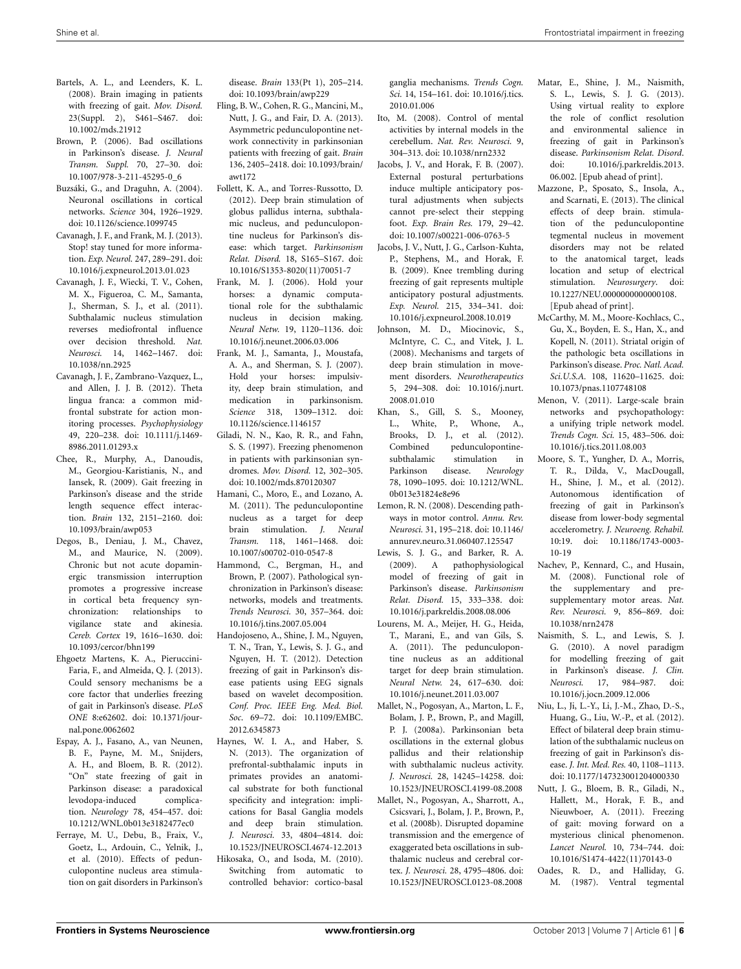- <span id="page-5-13"></span>Bartels, A. L., and Leenders, K. L. (2008). Brain imaging in patients with freezing of gait. *Mov. Disord.* 23(Suppl. 2), S461–S467. doi: 10.1002/mds.21912
- <span id="page-5-20"></span>Brown, P. (2006). Bad oscillations in Parkinson's disease. *J. Neural Transm. Suppl.* 70, 27–30. doi: 10.1007/978-3-211-45295-0\_6
- <span id="page-5-14"></span>Buzsáki, G., and Draguhn, A. (2004). Neuronal oscillations in cortical networks. *Science* 304, 1926–1929. doi: 10.1126/science.1099745
- <span id="page-5-25"></span>Cavanagh, J. F., and Frank, M. J. (2013). Stop! stay tuned for more information. *Exp. Neurol.* 247, 289–291. doi: 10.1016/j.expneurol.2013.01.023
- <span id="page-5-29"></span>Cavanagh, J. F., Wiecki, T. V., Cohen, M. X., Figueroa, C. M., Samanta, J., Sherman, S. J., et al. (2011). Subthalamic nucleus stimulation reverses mediofrontal influence over decision threshold. *Nat. Neurosci.* 14, 1462–1467. doi: 10.1038/nn.2925
- <span id="page-5-27"></span>Cavanagh, J. F., Zambrano-Vazquez, L., and Allen, J. J. B. (2012). Theta lingua franca: a common midfrontal substrate for action monitoring processes. *Psychophysiology* 49, 220–238. doi: 10.1111/j.1469- 8986.2011.01293.x
- <span id="page-5-22"></span>Chee, R., Murphy, A., Danoudis, M., Georgiou-Karistianis, N., and Iansek, R. (2009). Gait freezing in Parkinson's disease and the stride length sequence effect interaction. *Brain* 132, 2151–2160. doi: 10.1093/brain/awp053
- <span id="page-5-18"></span>Degos, B., Deniau, J. M., Chavez, M., and Maurice, N. (2009). Chronic but not acute dopaminergic transmission interruption promotes a progressive increase in cortical beta frequency synchronization: relationships to vigilance state and akinesia. *Cereb. Cortex* 19, 1616–1630. doi: 10.1093/cercor/bhn199
- <span id="page-5-30"></span>Ehgoetz Martens, K. A., Pieruccini-Faria, F., and Almeida, Q. J. (2013). Could sensory mechanisms be a core factor that underlies freezing of gait in Parkinson's disease. *PLoS ONE* 8:e62602. doi: 10.1371/journal.pone.0062602
- <span id="page-5-6"></span>Espay, A. J., Fasano, A., van Neunen, B. F., Payne, M. M., Snijders, A. H., and Bloem, B. R. (2012). "On" state freezing of gait in Parkinson disease: a paradoxical levodopa-induced complication. *Neurology* 78, 454–457. doi: 10.1212/WNL.0b013e3182477ec0
- <span id="page-5-36"></span>Ferraye, M. U., Debu, B., Fraix, V., Goetz, L., Ardouin, C., Yelnik, J., et al. (2010). Effects of pedunculopontine nucleus area stimulation on gait disorders in Parkinson's

disease. *Brain* 133(Pt 1), 205–214. doi: 10.1093/brain/awp229

- <span id="page-5-9"></span>Fling, B. W., Cohen, R. G., Mancini, M., Nutt, J. G., and Fair, D. A. (2013). Asymmetric pedunculopontine network connectivity in parkinsonian patients with freezing of gait. *Brain* 136, 2405–2418. doi: 10.1093/brain/ awt172
- <span id="page-5-8"></span>Follett, K. A., and Torres-Russotto, D. (2012). Deep brain stimulation of globus pallidus interna, subthalamic nucleus, and pedunculopontine nucleus for Parkinson's disease: which target. *Parkinsonism Relat. Disord.* 18, S165–S167. doi: 10.1016/S1353-8020(11)70051-7
- <span id="page-5-31"></span>Frank, M. J. (2006). Hold your horses: a dynamic computational role for the subthalamic nucleus in decision making. *Neural Netw.* 19, 1120–1136. doi: 10.1016/j.neunet.2006.03.006
- <span id="page-5-32"></span>Frank, M. J., Samanta, J., Moustafa, A. A., and Sherman, S. J. (2007). Hold your horses: impulsivity, deep brain stimulation, and medication in parkinsonism. *Science* 318, 1309–1312. doi: 10.1126/science.1146157
- <span id="page-5-0"></span>Giladi, N. N., Kao, R. R., and Fahn, S. S. (1997). Freezing phenomenon in patients with parkinsonian syndromes. *Mov. Disord.* 12, 302–305. doi: 10.1002/mds.870120307
- <span id="page-5-37"></span>Hamani, C., Moro, E., and Lozano, A. M. (2011). The pedunculopontine nucleus as a target for deep brain stimulation. *J. Neural Transm.* 118, 1461–1468. doi: 10.1007/s00702-010-0547-8
- <span id="page-5-15"></span>Hammond, C., Bergman, H., and Brown, P. (2007). Pathological synchronization in Parkinson's disease: networks, models and treatments. *Trends Neurosci.* 30, 357–364. doi: 10.1016/j.tins.2007.05.004
- <span id="page-5-28"></span>Handojoseno, A., Shine, J. M., Nguyen, T. N., Tran, Y., Lewis, S. J. G., and Nguyen, H. T. (2012). Detection freezing of gait in Parkinson's disease patients using EEG signals based on wavelet decomposition. *Conf. Proc. IEEE Eng. Med. Biol. Soc*. 69–72. doi: 10.1109/EMBC. 2012.6345873
- <span id="page-5-39"></span><span id="page-5-26"></span>Haynes, W. I. A., and Haber, S. N. (2013). The organization of prefrontal-subthalamic inputs in primates provides an anatomical substrate for both functional specificity and integration: implications for Basal Ganglia models and deep brain stimulation. *J. Neurosci.* 33, 4804–4814. doi: 10.1523/JNEUROSCI.4674-12.2013 Hikosaka, O., and Isoda, M. (2010).
	- Switching from automatic to controlled behavior: cortico-basal

ganglia mechanisms. *Trends Cogn. Sci.* 14, 154–161. doi: 10.1016/j.tics. 2010.01.006

- <span id="page-5-10"></span>Ito, M. (2008). Control of mental activities by internal models in the cerebellum. *Nat. Rev. Neurosci.* 9, 304–313. doi: 10.1038/nrn2332
- <span id="page-5-12"></span>Jacobs, J. V., and Horak, F. B. (2007). External postural perturbations induce multiple anticipatory postural adjustments when subjects cannot pre-select their stepping foot. *Exp. Brain Res.* 179, 29–42. doi: 10.1007/s00221-006-0763-5
- <span id="page-5-2"></span>Jacobs, J. V., Nutt, J. G., Carlson-Kuhta, P., Stephens, M., and Horak, F. B. (2009). Knee trembling during freezing of gait represents multiple anticipatory postural adjustments. *Exp. Neurol.* 215, 334–341. doi: 10.1016/j.expneurol.2008.10.019
- <span id="page-5-21"></span>Johnson, M. D., Miocinovic, S., McIntyre, C. C., and Vitek, J. L. (2008). Mechanisms and targets of deep brain stimulation in movement disorders. *Neurotherapeutics* 5, 294–308. doi: 10.1016/j.nurt. 2008.01.010
- <span id="page-5-38"></span>Khan, S., Gill, S. S., Mooney, L., White, P., Whone, A., Brooks, D. J., et al. (2012). Combined pedunculopontine-<br>subthalamic stimulation in stimulation in Parkinson disease. *Neurology* 78, 1090–1095. doi: 10.1212/WNL. 0b013e31824e8e96
- <span id="page-5-11"></span>Lemon, R. N. (2008). Descending pathways in motor control. *Annu. Rev. Neurosci.* 31, 195–218. doi: 10.1146/ annurev.neuro.31.060407.125547
- <span id="page-5-3"></span>Lewis, S. J. G., and Barker, R. A. (2009). A pathophysiological model of freezing of gait in Parkinson's disease. *Parkinsonism Relat. Disord.* 15, 333–338. doi: 10.1016/j.parkreldis.2008.08.006
- <span id="page-5-40"></span>Lourens, M. A., Meijer, H. G., Heida, T., Marani, E., and van Gils, S. A. (2011). The pedunculopontine nucleus as an additional target for deep brain stimulation. *Neural Netw.* 24, 617–630. doi: 10.1016/j.neunet.2011.03.007
- <span id="page-5-16"></span>Mallet, N., Pogosyan, A., Marton, L. F., Bolam, J. P., Brown, P., and Magill, P. J. (2008a). Parkinsonian beta oscillations in the external globus pallidus and their relationship with subthalamic nucleus activity. *J. Neurosci.* 28, 14245–14258. doi: 10.1523/JNEUROSCI.4199-08.2008
- <span id="page-5-17"></span>Mallet, N., Pogosyan, A., Sharrott, A., Csicsvari, J., Bolam, J. P., Brown, P., et al. (2008b). Disrupted dopamine transmission and the emergence of exaggerated beta oscillations in subthalamic nucleus and cerebral cortex. *J. Neurosci.* 28, 4795–4806. doi: 10.1523/JNEUROSCI.0123-08.2008
- <span id="page-5-5"></span>Matar, E., Shine, J. M., Naismith, S. L., Lewis, S. J. G. (2013). Using virtual reality to explore the role of conflict resolution and environmental salience in freezing of gait in Parkinson's disease. *Parkinsonism Relat. Disord*. doi: 10.1016/j.parkreldis.2013. 06.002. [Epub ahead of print].
- <span id="page-5-35"></span>Mazzone, P., Sposato, S., Insola, A., and Scarnati, E. (2013). The clinical effects of deep brain. stimulation of the pedunculopontine tegmental nucleus in movement disorders may not be related to the anatomical target, leads location and setup of electrical stimulation. *Neurosurgery*. doi: 10.1227/NEU.0000000000000108. [Epub ahead of print].
- <span id="page-5-19"></span>McCarthy, M. M., Moore-Kochlacs, C., Gu, X., Boyden, E. S., Han, X., and Kopell, N. (2011). Striatal origin of the pathologic beta oscillations in Parkinson's disease. *Proc. Natl. Acad. Sci.U.S.A.* 108, 11620–11625. doi: 10.1073/pnas.1107748108
- <span id="page-5-23"></span>Menon, V. (2011). Large-scale brain networks and psychopathology: a unifying triple network model. *Trends Cogn. Sci.* 15, 483–506. doi: 10.1016/j.tics.2011.08.003
- <span id="page-5-33"></span>Moore, S. T., Yungher, D. A., Morris, T. R., Dilda, V., MacDougall, H., Shine, J. M., et al. (2012). Autonomous identification of freezing of gait in Parkinson's disease from lower-body segmental accelerometry. *J. Neuroeng. Rehabil.* 10:19. doi: 10.1186/1743-0003- 10-19
- <span id="page-5-24"></span>Nachev, P., Kennard, C., and Husain, M. (2008). Functional role of the supplementary and presupplementary motor areas. *Nat. Rev. Neurosci.* 9, 856–869. doi: 10.1038/nrn2478
- <span id="page-5-4"></span>Naismith, S. L., and Lewis, S. J. G. (2010). A novel paradigm for modelling freezing of gait in Parkinson's disease. *J. Clin. Neurosci.* 17, 984–987. doi: 10.1016/j.jocn.2009.12.006
- <span id="page-5-7"></span>Niu, L., Ji, L.-Y., Li, J.-M., Zhao, D.-S., Huang, G., Liu, W.-P., et al. (2012). Effect of bilateral deep brain stimulation of the subthalamic nucleus on freezing of gait in Parkinson's disease. *J. Int. Med. Res.* 40, 1108–1113. doi: 10.1177/147323001204000330
- <span id="page-5-1"></span>Nutt, J. G., Bloem, B. R., Giladi, N., Hallett, M., Horak, F. B., and Nieuwboer, A. (2011). Freezing of gait: moving forward on a mysterious clinical phenomenon. *Lancet Neurol.* 10, 734–744. doi: 10.1016/S1474-4422(11)70143-0
- <span id="page-5-34"></span>Oades, R. D., and Halliday, G. M. (1987). Ventral tegmental